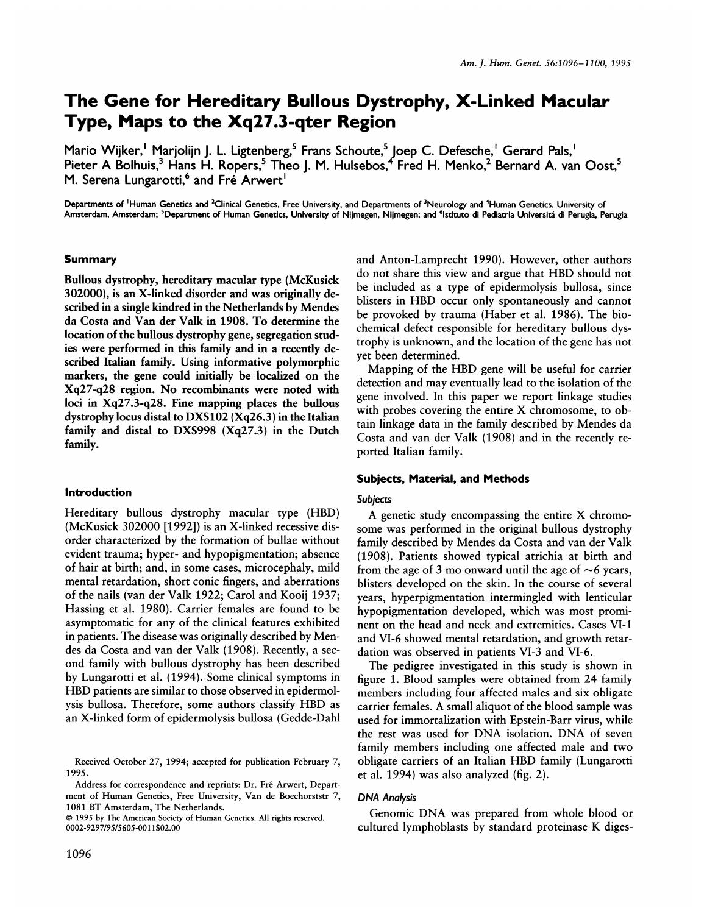# The Gene for Hereditary Bullous Dystrophy, X-Linked Macular Type, Maps to the Xq27.3-qter Region

Mario Wijker,' Marjolijn J. L. Ligtenberg, $^{\circ}$  Frans Schoute, $^{\circ}$  Joep C. Defesche,' Gerard Pals,' Pieter A Bolhuis,<sup>3</sup> Hans H. Ropers,<sup>5</sup> Theo J. M. Hulsebos,<sup>4</sup> Fred H. Menko,<sup>2</sup> Bernard A. van Oost,<sup>5</sup> M. Serena Lungarotti,<sup>6</sup> and Fre Arwert<sup>1</sup>

Departments of <sup>1</sup>Human Genetics and <sup>2</sup>Clinical Genetics, Free University, and Departments of <sup>3</sup>Neurology and <sup>4</sup>Human Genetics, University of Amsterdam, Amsterdam; <sup>5</sup>Department of Human Genetics, University of Nijmegen, Nijmegen; and <sup>6</sup>Istituto di Pediatria Universitá di Perugia, Perugia

## Summary

Bullous dystrophy, hereditary macular type (McKusick 302000), is an X-linked disorder and was originally described in a single kindred in the Netherlands by Mendes da Costa and Van der Valk in 1908. To determine the location of the bullous dystrophy gene, segregation studies were performed in this family and in a recently described Italian family. Using informative polymorphic markers, the gene could initially be localized on the Xq27-q28 region. No recombinants were noted with loci in Xq27.3-q28. Fine mapping places the bullous dystrophy locus distal to DXS102 (Xq26.3) in the Italian family and distal to DXS998 (Xq27.3) in the Dutch family.

#### Introduction

Hereditary bullous dystrophy macular type (HBD) (McKusick 302000 [1992]) is an X-linked recessive disorder characterized by the formation of bullae without evident trauma; hyper- and hypopigmentation; absence of hair at birth; and, in some cases, microcephaly, mild mental retardation, short conic fingers, and aberrations of the nails (van der Valk 1922; Carol and Kooij 1937; Hassing et al. 1980). Carrier females are found to be asymptomatic for any of the clinical features exhibited in patients. The disease was originally described by Mendes da Costa and van der Valk (1908). Recently, a second family with bullous dystrophy has been described by Lungarotti et al. (1994). Some clinical symptoms in HBD patients are similar to those observed in epidermolysis bullosa. Therefore, some authors classify HBD as an X-linked form of epidermolysis bullosa (Gedde-Dahl

© <sup>1995</sup> by The American Society of Human Genetics. All rights reserved. 0002-9297/95/5605-0011\$02.00

and Anton-Lamprecht 1990). However, other authors do not share this view and argue that HBD should not be included as a type of epidermolysis bullosa, since blisters in HBD occur only spontaneously and cannot be provoked by trauma (Haber et al. 1986). The biochemical defect responsible for hereditary bullous dystrophy is unknown, and the location of the gene has not yet been determined.

Mapping of the HBD gene will be useful for carrier detection and may eventually lead to the isolation of the gene involved. In this paper we report linkage studies with probes covering the entire X chromosome, to obtain linkage data in the family described by Mendes da Costa and van der Valk (1908) and in the recently reported Italian family.

## Subjects, Material, and Methods

#### Subjects

A genetic study encompassing the entire X chromosome was performed in the original bullous dystrophy family described by Mendes da Costa and van der Valk (1908). Patients showed typical atrichia at birth and from the age of 3 mo onward until the age of  $\sim$ 6 years, blisters developed on the skin. In the course of several years, hyperpigmentation intermingled with lenticular hypopigmentation developed, which was most prominent on the head and neck and extremities. Cases VI-1 and VI-6 showed mental retardation, and growth retardation was observed in patients VI-3 and VI-6.

The pedigree investigated in this study is shown in figure 1. Blood samples were obtained from 24 family members including four affected males and six obligate carrier females. A small aliquot of the blood sample was used for immortalization with Epstein-Barr virus, while the rest was used for DNA isolation. DNA of seven family members including one affected male and two obligate carriers of an Italian HBD family (Lungarotti et al. 1994) was also analyzed (fig. 2).

#### DNA Analysis

Genomic DNA was prepared from whole blood or cultured lymphoblasts by standard proteinase K diges-

Received October 27, 1994; accepted for publication February 7, 1995.

Address for correspondence and reprints: Dr. Fré Arwert, Department of Human Genetics, Free University, Van de Boechorststr 7, 1081 BT Amsterdam, The Netherlands.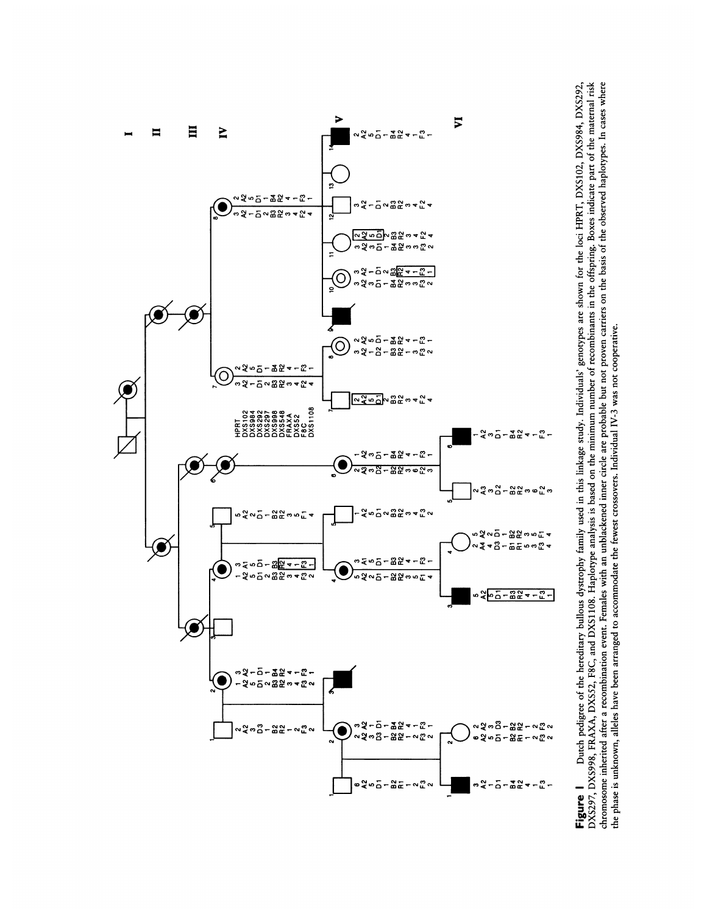

DXS297, DXS998, FRÁXA, DXS52, F8C, and DXS1108. Haplorpe analysis is based on the minimum number of recombinants in the offspring. Boxes indicate part of the maternal risk<br>chromosome inherited after a recombination event. Dutch pedigree of the hereditary bullous dystrophy family used in this linkage study. Individuals' genotypes are shown for the loci HPRT, DXS102, DXS984, DXS292, Figure 1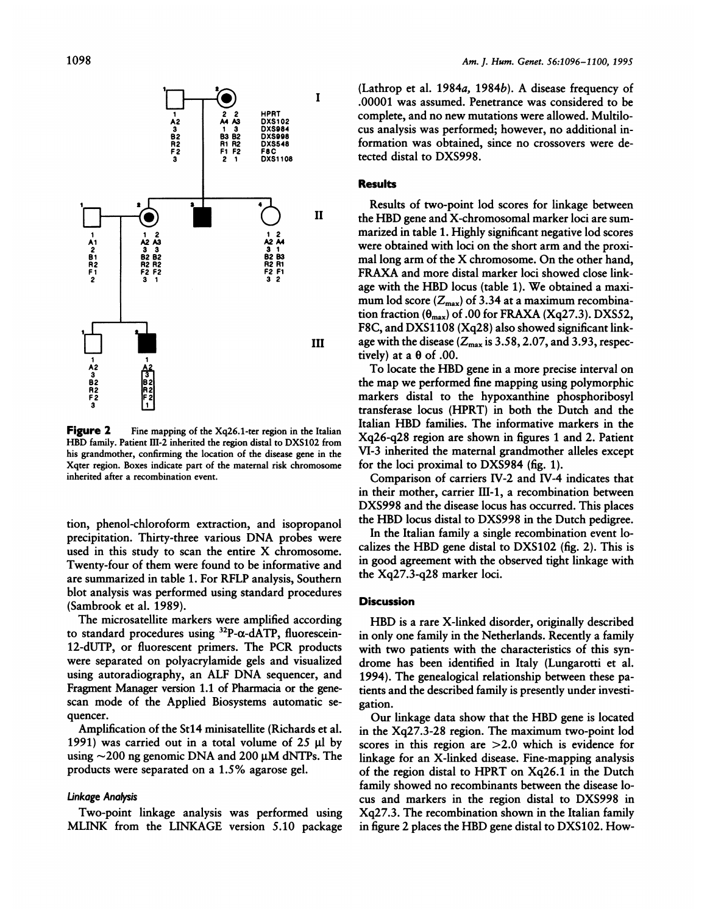

Figure 2 Fine mapping of the Xq26.1-ter region in the Italian HBD family. Patient III-2 inherited the region distal to DXS102 from his grandmother, confirming the location of the disease gene in the Xqter region. Boxes indicate part of the maternal risk chromosome inherited after a recombination event.

tion, phenol-chloroform extraction, and isopropanol precipitation. Thirty-three various DNA probes were used in this study to scan the entire X chromosome. Twenty-four of them were found to be informative and are summarized in table 1. For RFLP analysis, Southern blot analysis was performed using standard procedures (Sambrook et al. 1989).

The microsatellite markers were amplified according to standard procedures using 32P-a-dATP, fluorescein-12-dUTP, or fluorescent primers. The PCR products were separated on polyacrylamide gels and visualized using autoradiography, an ALF DNA sequencer, and Fragment Manager version 1.1 of Pharmacia or the genescan mode of the Applied Biosystems automatic sequencer.

Amplification of the Stl4 minisatellite (Richards et al. 1991) was carried out in a total volume of  $25 \mu l$  by using  $\sim$  200 ng genomic DNA and 200  $\mu$ M dNTPs. The products were separated on a 1.5% agarose gel.

#### Linkage Analysis

Two-point linkage analysis was performed using MLINK from the LINKAGE version 5.10 package (Lathrop et al. 1984a, 1984b). A disease frequency of .00001 was assumed. Penetrance was considered to be complete, and no new mutations were allowed. Multilocus analysis was performed; however, no additional information was obtained, since no crossovers were detected distal to DXS998.

## **Results**

Results of two-point lod scores for linkage between the HBD gene and X-chromosomal marker loci are summarized in table 1. Highly significant negative lod scores were obtained with loci on the short arm and the proximal long arm of the X chromosome. On the other hand, FRAXA and more distal marker loci showed close linkage with the HBD locus (table 1). We obtained <sup>a</sup> maximum lod score  $(Z_{\text{max}})$  of 3.34 at a maximum recombination fraction ( $\theta_{\text{max}}$ ) of .00 for FRAXA (Xq27.3). DXS52, F8C, and DXS1108 (Xq28) also showed significant linkage with the disease ( $Z_{\text{max}}$  is 3.58, 2.07, and 3.93, respectively) at a  $\theta$  of .00.

To locate the HBD gene in <sup>a</sup> more precise interval on the map we performed fine mapping using polymorphic markers distal to the hypoxanthine phosphoribosyl transferase locus (HPRT) in both the Dutch and the Italian HBD families. The informative markers in the Xq26-q28 region are shown in figures <sup>1</sup> and 2. Patient VI-3 inherited the maternal grandmother alleles except for the loci proximal to DXS984 (fig. 1).

Comparison of carriers IV-2 and IV-4 indicates that in their mother, carrier III-1, a recombination between DXS998 and the disease locus has occurred. This places the HBD locus distal to DXS998 in the Dutch pedigree.

In the Italian family a single recombination event localizes the HBD gene distal to DXS102 (fig. 2). This is in good agreement with the observed tight linkage with the Xq27.3-q28 marker loci.

## **Discussion**

HBD is <sup>a</sup> rare X-linked disorder, originally described in only one family in the Netherlands. Recently a family with two patients with the characteristics of this syndrome has been identified in Italy (Lungarotti et al. 1994). The genealogical relationship between these patients and the described family is presently under investigation.

Our linkage data show that the HBD gene is located in the Xq27.3-28 region. The maximum two-point lod scores in this region are >2.0 which is evidence for linkage for an X-linked disease. Fine-mapping analysis of the region distal to HPRT on Xq26.1 in the Dutch family showed no recombinants between the disease locus and markers in the region distal to DXS998 in Xq27.3. The recombination shown in the Italian family in figure 2 places the HBD gene distal to DXS102. How-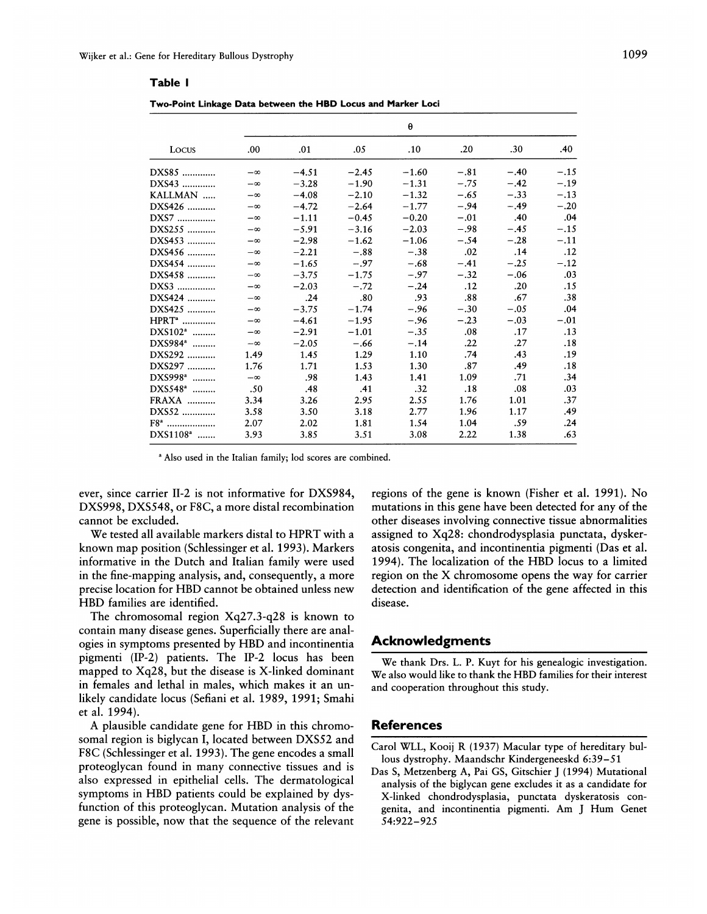## Table I

| Two-Point Linkage Data between the HBD Locus and Marker Loci |  |  |  |  |
|--------------------------------------------------------------|--|--|--|--|
|--------------------------------------------------------------|--|--|--|--|

| Locus                | θ         |         |         |         |        |        |        |  |  |
|----------------------|-----------|---------|---------|---------|--------|--------|--------|--|--|
|                      | .00       | .01     | .05     | .10     | .20    | .30    | .40    |  |  |
| DXS85                | $-\infty$ | $-4.51$ | $-2.45$ | $-1.60$ | $-.81$ | $-.40$ | $-.15$ |  |  |
| DXS43                | $-\infty$ | $-3.28$ | $-1.90$ | $-1.31$ | $-.75$ | $-.42$ | $-.19$ |  |  |
| KALLMAN              | $-\infty$ | $-4.08$ | $-2.10$ | $-1.32$ | $-.65$ | $-.33$ | $-.13$ |  |  |
| DXS426               | $-\infty$ | $-4.72$ | $-2.64$ | $-1.77$ | $-.94$ | $-.49$ | $-.20$ |  |  |
| DXS7                 | $-\infty$ | $-1.11$ | $-0.45$ | $-0.20$ | $-.01$ | .40    | .04    |  |  |
| DXS255               | $-\infty$ | $-5.91$ | $-3.16$ | $-2.03$ | $-.98$ | $-.45$ | $-.15$ |  |  |
| DXS453               | $-\infty$ | $-2.98$ | $-1.62$ | $-1.06$ | $-.54$ | $-.28$ | $-.11$ |  |  |
| DXS456               | $-\infty$ | $-2.21$ | $-.88$  | $-.38$  | .02    | .14    | .12    |  |  |
| DXS454               | $-\infty$ | $-1.65$ | $-.97$  | $-.68$  | $-.41$ | $-.25$ | $-.12$ |  |  |
| DXS458               | $-\infty$ | $-3.75$ | $-1.75$ | $-.97$  | $-.32$ | $-.06$ | .03    |  |  |
| DXS3                 | $-\infty$ | $-2.03$ | $-.72$  | $-.24$  | .12    | .20    | .15    |  |  |
| DXS424               | $-\infty$ | .24     | .80     | .93     | .88    | .67    | .38    |  |  |
| DXS425               | $-\infty$ | $-3.75$ | $-1.74$ | $-.96$  | $-.30$ | $-.05$ | .04    |  |  |
| HPRT <sup>a</sup>    | $-\infty$ | $-4.61$ | $-1.95$ | $-.96$  | $-.23$ | $-.03$ | $-.01$ |  |  |
| $DXS102^*$           | $-\infty$ | $-2.91$ | $-1.01$ | $-.35$  | .08    | .17    | .13    |  |  |
| DXS984 <sup>a</sup>  | $-\infty$ | $-2.05$ | $-.66$  | $-.14$  | .22    | .27    | .18    |  |  |
| DXS292               | 1.49      | 1.45    | 1.29    | 1.10    | .74    | .43    | .19    |  |  |
| DXS297               | 1.76      | 1.71    | 1.53    | 1.30    | .87    | .49    | .18    |  |  |
| DXS998 <sup>a</sup>  | $-\infty$ | .98     | 1.43    | 1.41    | 1.09   | .71    | .34    |  |  |
| DXS548 <sup>a</sup>  | .50       | .48     | .41     | .32     | .18    | .08    | .03    |  |  |
| FRAXA                | 3.34      | 3.26    | 2.95    | 2.55    | 1.76   | 1.01   | .37    |  |  |
| DXS52                | 3.58      | 3.50    | 3.18    | 2.77    | 1.96   | 1.17   | .49    |  |  |
| $F8^a$               | 2.07      | 2.02    | 1.81    | 1.54    | 1.04   | .59    | .24    |  |  |
| DXS1108 <sup>a</sup> | 3.93      | 3.85    | 3.51    | 3.08    | 2.22   | 1.38   | .63    |  |  |
|                      |           |         |         |         |        |        |        |  |  |

<sup>a</sup> Also used in the Italian family; lod scores are combined.

ever, since carrier II-2 is not informative for DXS984, DXS998, DXS548, or F8C, a more distal recombination cannot be excluded.

We tested all available markers distal to HPRT with a known map position (Schlessinger et al. 1993). Markers informative in the Dutch and Italian family were used in the fine-mapping analysis, and, consequently, a more precise location for HBD cannot be obtained unless new HBD families are identified.

The chromosomal region  $Xq27.3-q28$  is known to contain many disease genes. Superficially there are analogies in symptoms presented by HBD and incontinentia pigmenti (IP-2) patients. The IP-2 locus has been mapped to Xq28, but the disease is X-linked dominant in females and lethal in males, which makes it an unlikely candidate locus (Sefiani et al. 1989, 1991; Smahi et al. 1994).

A plausible candidate gene for HBD in this chromosomal region is biglycan I, located between DXS52 and F8C (Schlessinger et al. 1993). The gene encodes a small proteoglycan found in many connective tissues and is also expressed in epithelial cells. The dermatological symptoms in HBD patients could be explained by dysfunction of this proteoglycan. Mutation analysis of the gene is possible, now that the sequence of the relevant regions of the gene is known (Fisher et al. 1991). No mutations in this gene have been detected for any of the other diseases involving connective tissue abnormalities assigned to Xq28: chondrodysplasia punctata, dyskeratosis congenita, and incontinentia pigmenti (Das et al. 1994). The localization of the HBD locus to a limited region on the X chromosome opens the way for carrier detection and identification of the gene affected in this disease.

## **Acknowledgments**

We thank Drs. L. P. Kuyt for his genealogic investigation. We also would like to thank the HBD families for their interest and cooperation throughout this study.

# **References**

- Carol WLL, Kooii R (1937) Macular type of hereditary bullous dystrophy. Maandschr Kindergeneeskd 6:39-51
- Das S, Metzenberg A, Pai GS, Gitschier J (1994) Mutational analysis of the biglycan gene excludes it as a candidate for X-linked chondrodysplasia, punctata dyskeratosis congenita, and incontinentia pigmenti. Am J Hum Genet 54:922-925